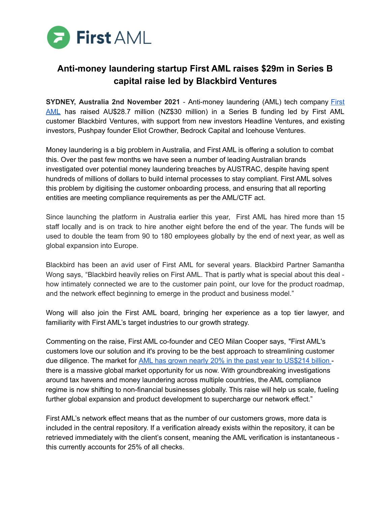

## **Anti-money laundering startup First AML raises \$29m in Series B capital raise led by Blackbird Ventures**

**SYDNEY, Australia 2nd November 2021** - Anti-money laundering (AML) tech company [First](https://www.firstaml.com/) [AML](https://www.firstaml.com/) has raised AU\$28.7 million (NZ\$30 million) in a Series B funding led by First AML customer Blackbird Ventures, with support from new investors Headline Ventures, and existing investors, Pushpay founder Eliot Crowther, Bedrock Capital and Icehouse Ventures.

Money laundering is a big problem in Australia, and First AML is offering a solution to combat this. Over the past few months we have seen a number of leading Australian brands investigated over potential money laundering breaches by AUSTRAC, despite having spent hundreds of millions of dollars to build internal processes to stay compliant. First AML solves this problem by digitising the customer onboarding process, and ensuring that all reporting entities are meeting compliance requirements as per the AML/CTF act.

Since launching the platform in Australia earlier this year, First AML has hired more than 15 staff locally and is on track to hire another eight before the end of the year. The funds will be used to double the team from 90 to 180 employees globally by the end of next year, as well as global expansion into Europe.

Blackbird has been an avid user of First AML for several years. Blackbird Partner Samantha Wong says, "Blackbird heavily relies on First AML. That is partly what is special about this deal how intimately connected we are to the customer pain point, our love for the product roadmap, and the network effect beginning to emerge in the product and business model."

Wong will also join the First AML board, bringing her experience as a top tier lawyer, and familiarity with First AML's target industries to our growth strategy.

Commenting on the raise, First AML co-founder and CEO Milan Cooper says, "First AML's customers love our solution and it's proving to be the best approach to streamlining customer due diligence. The market for AML has grown nearly 20% in the past year to [US\\$214](https://risk.lexisnexis.com/global/en/insights-resources/research/true-cost-of-financial-crime-compliance-study-global-report) billion there is a massive global market opportunity for us now. With groundbreaking investigations around tax havens and money laundering across multiple countries, the AML compliance regime is now shifting to non-financial businesses globally. This raise will help us scale, fueling further global expansion and product development to supercharge our network effect."

First AML's network effect means that as the number of our customers grows, more data is included in the central repository. If a verification already exists within the repository, it can be retrieved immediately with the client's consent, meaning the AML verification is instantaneous this currently accounts for 25% of all checks.